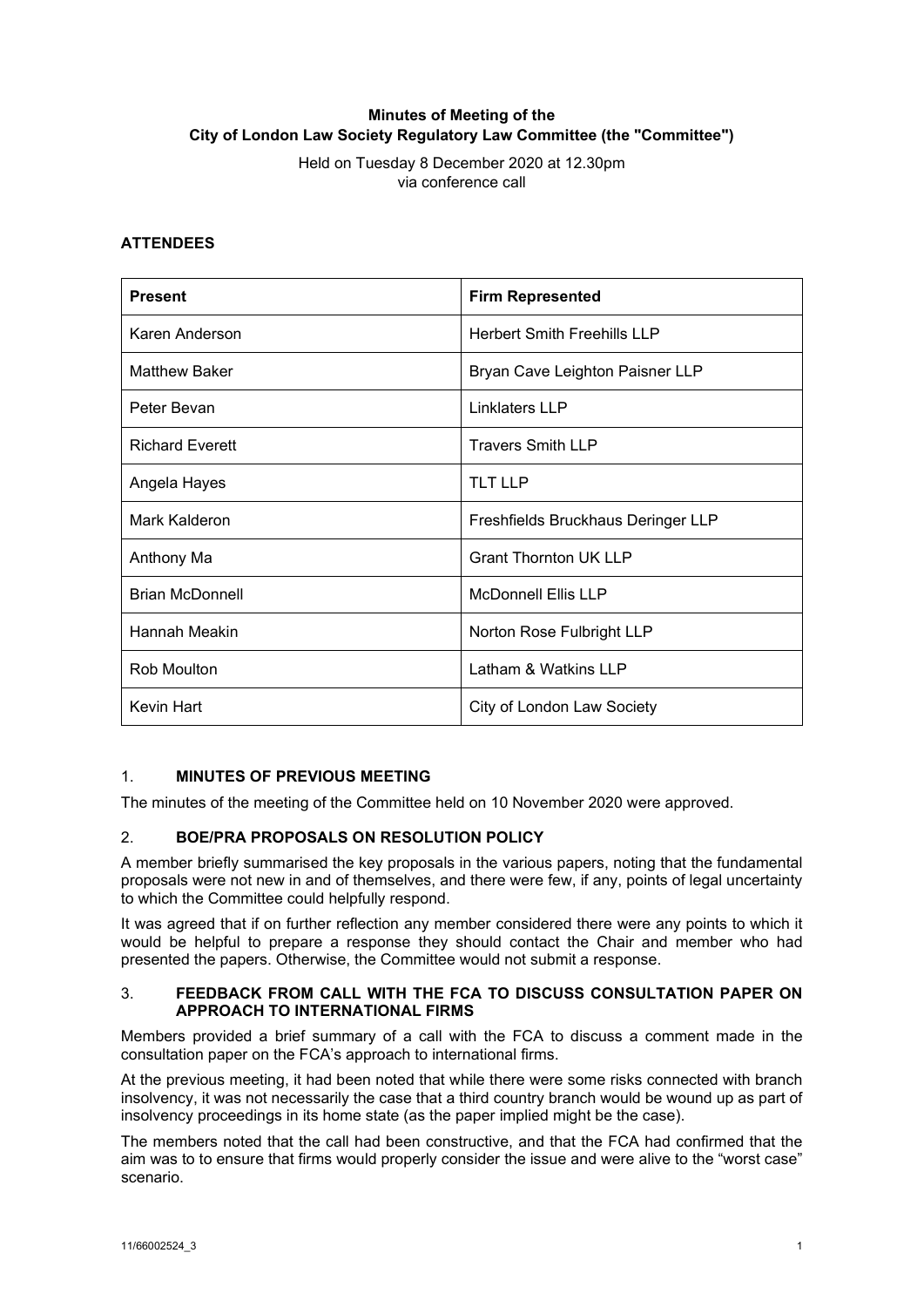# **Minutes of Meeting of the City of London Law Society Regulatory Law Committee (the "Committee")**

Held on Tuesday 8 December 2020 at 12.30pm via conference call

### **ATTENDEES**

| <b>Present</b>         | <b>Firm Represented</b>            |
|------------------------|------------------------------------|
| Karen Anderson         | <b>Herbert Smith Freehills LLP</b> |
| <b>Matthew Baker</b>   | Bryan Cave Leighton Paisner LLP    |
| Peter Bevan            | Linklaters LLP                     |
| <b>Richard Everett</b> | <b>Travers Smith LLP</b>           |
| Angela Hayes           | <b>TLT LLP</b>                     |
| Mark Kalderon          | Freshfields Bruckhaus Deringer LLP |
| Anthony Ma             | <b>Grant Thornton UK LLP</b>       |
| <b>Brian McDonnell</b> | <b>McDonnell Ellis LLP</b>         |
| Hannah Meakin          | Norton Rose Fulbright LLP          |
| Rob Moulton            | Latham & Watkins LLP               |
| Kevin Hart             | City of London Law Society         |

# 1. **MINUTES OF PREVIOUS MEETING**

The minutes of the meeting of the Committee held on 10 November 2020 were approved.

# 2. **BOE/PRA PROPOSALS ON RESOLUTION POLICY**

A member briefly summarised the key proposals in the various papers, noting that the fundamental proposals were not new in and of themselves, and there were few, if any, points of legal uncertainty to which the Committee could helpfully respond.

It was agreed that if on further reflection any member considered there were any points to which it would be helpful to prepare a response they should contact the Chair and member who had presented the papers. Otherwise, the Committee would not submit a response.

#### 3. **FEEDBACK FROM CALL WITH THE FCA TO DISCUSS CONSULTATION PAPER ON APPROACH TO INTERNATIONAL FIRMS**

Members provided a brief summary of a call with the FCA to discuss a comment made in the consultation paper on the FCA's approach to international firms.

At the previous meeting, it had been noted that while there were some risks connected with branch insolvency, it was not necessarily the case that a third country branch would be wound up as part of insolvency proceedings in its home state (as the paper implied might be the case).

The members noted that the call had been constructive, and that the FCA had confirmed that the aim was to to ensure that firms would properly consider the issue and were alive to the "worst case" scenario.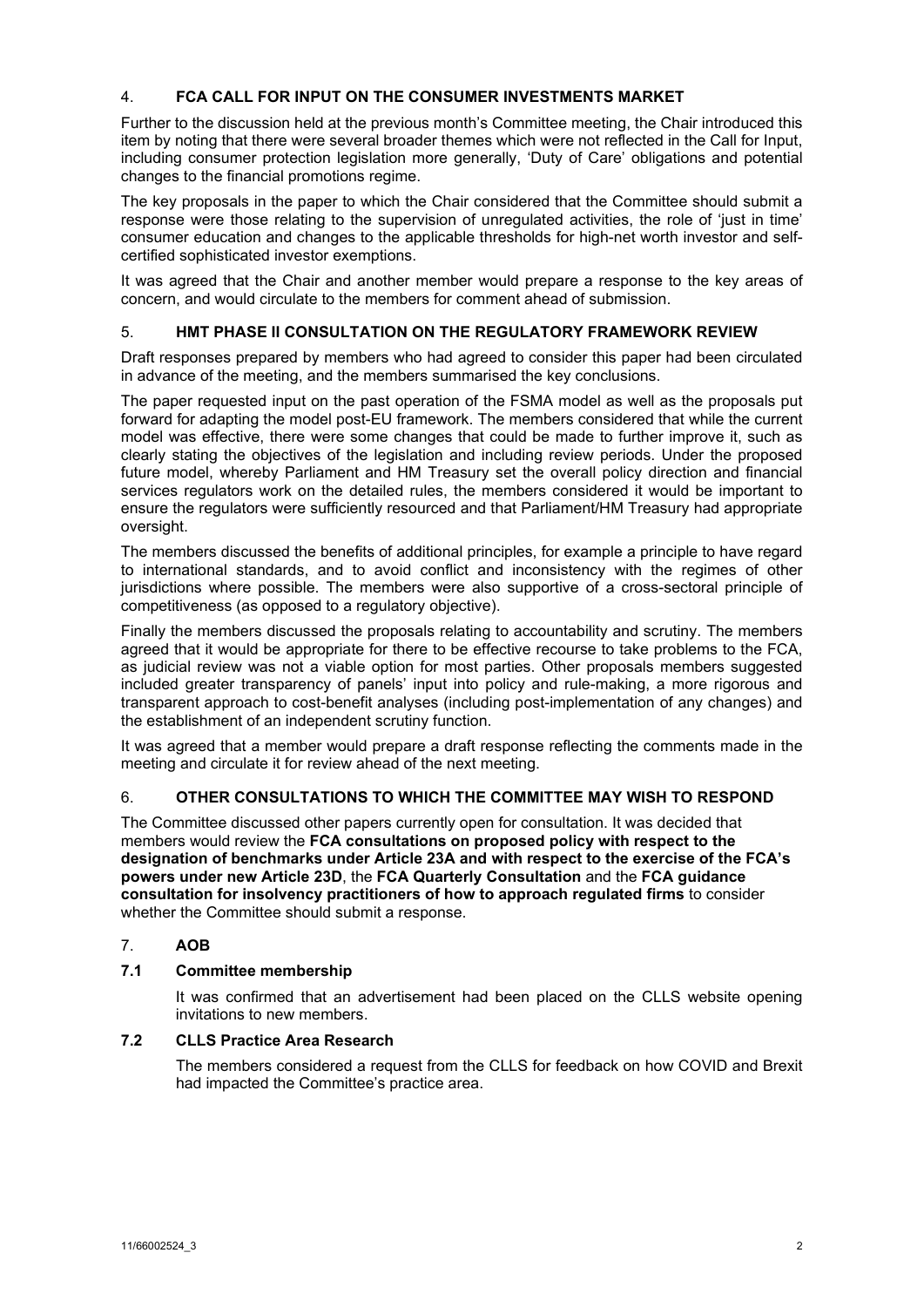# 4. **FCA CALL FOR INPUT ON THE CONSUMER INVESTMENTS MARKET**

Further to the discussion held at the previous month's Committee meeting, the Chair introduced this item by noting that there were several broader themes which were not reflected in the Call for Input, including consumer protection legislation more generally, 'Duty of Care' obligations and potential changes to the financial promotions regime.

The key proposals in the paper to which the Chair considered that the Committee should submit a response were those relating to the supervision of unregulated activities, the role of 'just in time' consumer education and changes to the applicable thresholds for high-net worth investor and selfcertified sophisticated investor exemptions.

It was agreed that the Chair and another member would prepare a response to the key areas of concern, and would circulate to the members for comment ahead of submission.

# 5. **HMT PHASE II CONSULTATION ON THE REGULATORY FRAMEWORK REVIEW**

Draft responses prepared by members who had agreed to consider this paper had been circulated in advance of the meeting, and the members summarised the key conclusions.

The paper requested input on the past operation of the FSMA model as well as the proposals put forward for adapting the model post-EU framework. The members considered that while the current model was effective, there were some changes that could be made to further improve it, such as clearly stating the objectives of the legislation and including review periods. Under the proposed future model, whereby Parliament and HM Treasury set the overall policy direction and financial services regulators work on the detailed rules, the members considered it would be important to ensure the regulators were sufficiently resourced and that Parliament/HM Treasury had appropriate oversight.

The members discussed the benefits of additional principles, for example a principle to have regard to international standards, and to avoid conflict and inconsistency with the regimes of other jurisdictions where possible. The members were also supportive of a cross-sectoral principle of competitiveness (as opposed to a regulatory objective).

Finally the members discussed the proposals relating to accountability and scrutiny. The members agreed that it would be appropriate for there to be effective recourse to take problems to the FCA, as judicial review was not a viable option for most parties. Other proposals members suggested included greater transparency of panels' input into policy and rule-making, a more rigorous and transparent approach to cost-benefit analyses (including post-implementation of any changes) and the establishment of an independent scrutiny function.

It was agreed that a member would prepare a draft response reflecting the comments made in the meeting and circulate it for review ahead of the next meeting.

# 6. **OTHER CONSULTATIONS TO WHICH THE COMMITTEE MAY WISH TO RESPOND**

The Committee discussed other papers currently open for consultation. It was decided that members would review the **FCA consultations on proposed policy with respect to the designation of benchmarks under Article 23A and with respect to the exercise of the FCA's powers under new Article 23D**, the **FCA Quarterly Consultation** and the **FCA guidance consultation for insolvency practitioners of how to approach regulated firms** to consider whether the Committee should submit a response.

# 7. **AOB**

# **7.1 Committee membership**

It was confirmed that an advertisement had been placed on the CLLS website opening invitations to new members.

# **7.2 CLLS Practice Area Research**

The members considered a request from the CLLS for feedback on how COVID and Brexit had impacted the Committee's practice area.